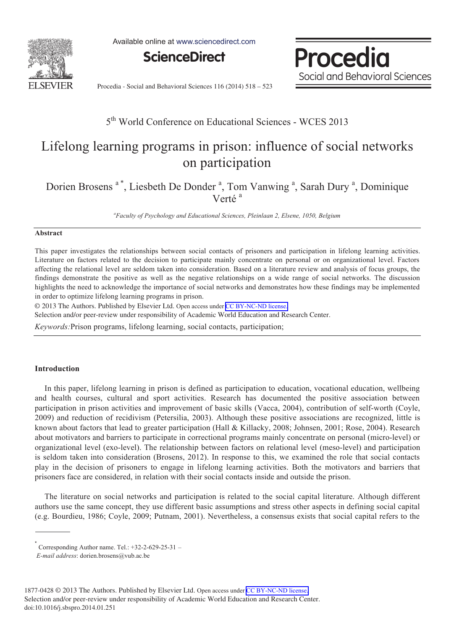

Available online at www.sciencedirect.com

**ScienceDirect**

Procedia Social and Behavioral Sciences

Procedia - Social and Behavioral Sciences 116 (2014) 518 - 523

# 5<sup>th</sup> World Conference on Educational Sciences - WCES 2013

# Lifelong learning programs in prison: influence of social networks on participation

Dorien Brosens<sup>a\*</sup>, Liesbeth De Donder<sup>a</sup>, Tom Vanwing<sup>a</sup>, Sarah Dury<sup>a</sup>, Dominique Verté<sup>a</sup>

*a Faculty of Psychology and Educational Sciences, Pleinlaan 2, Elsene, 1050, Belgium* 

### **Abstract**

This paper investigates the relationships between social contacts of prisoners and participation in lifelong learning activities. Literature on factors related to the decision to participate mainly concentrate on personal or on organizational level. Factors affecting the relational level are seldom taken into consideration. Based on a literature review and analysis of focus groups, the findings demonstrate the positive as well as the negative relationships on a wide range of social networks. The discussion highlights the need to acknowledge the importance of social networks and demonstrates how these findings may be implemented in order to optimize lifelong learning programs in prison.

© 2013 The Authors. Published by Elsevier Ltd. Open access under CC BY-NC-ND license.

Selection and/or peer-review under responsibility of Academic World Education and Research Center.

*Keywords:*Prison programs, lifelong learning, social contacts, participation;

# **Introduction**

In this paper, lifelong learning in prison is defined as participation to education, vocational education, wellbeing and health courses, cultural and sport activities. Research has documented the positive association between participation in prison activities and improvement of basic skills (Vacca, 2004), contribution of self-worth (Coyle, 2009) and reduction of recidivism (Petersilia, 2003). Although these positive associations are recognized, little is known about factors that lead to greater participation (Hall & Killacky, 2008; Johnsen, 2001; Rose, 2004). Research about motivators and barriers to participate in correctional programs mainly concentrate on personal (micro-level) or organizational level (exo-level). The relationship between factors on relational level (meso-level) and participation is seldom taken into consideration (Brosens, 2012). In response to this, we examined the role that social contacts play in the decision of prisoners to engage in lifelong learning activities. Both the motivators and barriers that prisoners face are considered, in relation with their social contacts inside and outside the prison.

The literature on social networks and participation is related to the social capital literature. Although different authors use the same concept, they use different basic assumptions and stress other aspects in defining social capital (e.g. Bourdieu, 1986; Coyle, 2009; Putnam, 2001). Nevertheless, a consensus exists that social capital refers to the

<sup>\*</sup> Corresponding Author name. Tel.: +32-2-629-25-31 *–* 

*E-mail address*: dorien.brosens@vub.ac.be

<sup>1877-0428 © 2013</sup> The Authors. Published by Elsevier Ltd. Open access under [CC BY-NC-ND license.](http://creativecommons.org/licenses/by-nc-nd/3.0/) Selection and/or peer-review under responsibility of Academic World Education and Research Center. doi: 10.1016/j.sbspro.2014.01.251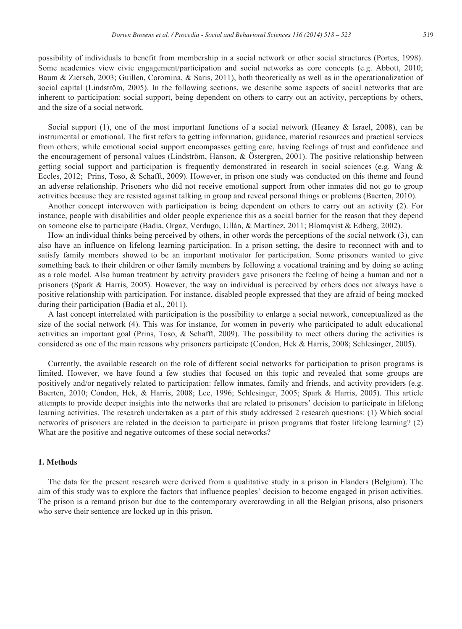possibility of individuals to benefit from membership in a social network or other social structures (Portes, 1998). Some academics view civic engagement/participation and social networks as core concepts (e.g. Abbott, 2010; Baum & Ziersch, 2003; Guillen, Coromina, & Saris, 2011), both theoretically as well as in the operationalization of social capital (Lindström, 2005). In the following sections, we describe some aspects of social networks that are inherent to participation: social support, being dependent on others to carry out an activity, perceptions by others, and the size of a social network.

Social support (1), one of the most important functions of a social network (Heaney & Israel, 2008), can be instrumental or emotional. The first refers to getting information, guidance, material resources and practical services from others; while emotional social support encompasses getting care, having feelings of trust and confidence and the encouragement of personal values (Lindström, Hanson, & Östergren, 2001). The positive relationship between getting social support and participation is frequently demonstrated in research in social sciences (e.g. Wang & Eccles, 2012; Prins, Toso, & Schafft, 2009). However, in prison one study was conducted on this theme and found an adverse relationship. Prisoners who did not receive emotional support from other inmates did not go to group activities because they are resisted against talking in group and reveal personal things or problems (Baerten, 2010).

Another concept interwoven with participation is being dependent on others to carry out an activity (2). For instance, people with disabilities and older people experience this as a social barrier for the reason that they depend on someone else to participate (Badia, Orgaz, Verdugo, Ullán, & Martínez, 2011; Blomqvist & Edberg, 2002).

How an individual thinks being perceived by others, in other words the perceptions of the social network (3), can also have an influence on lifelong learning participation. In a prison setting, the desire to reconnect with and to satisfy family members showed to be an important motivator for participation. Some prisoners wanted to give something back to their children or other family members by following a vocational training and by doing so acting as a role model. Also human treatment by activity providers gave prisoners the feeling of being a human and not a prisoners (Spark & Harris, 2005). However, the way an individual is perceived by others does not always have a positive relationship with participation. For instance, disabled people expressed that they are afraid of being mocked during their participation (Badia et al., 2011).

A last concept interrelated with participation is the possibility to enlarge a social network, conceptualized as the size of the social network (4). This was for instance, for women in poverty who participated to adult educational activities an important goal (Prins, Toso, & Schafft, 2009). The possibility to meet others during the activities is considered as one of the main reasons why prisoners participate (Condon, Hek & Harris, 2008; Schlesinger, 2005).

Currently, the available research on the role of different social networks for participation to prison programs is limited. However, we have found a few studies that focused on this topic and revealed that some groups are positively and/or negatively related to participation: fellow inmates, family and friends, and activity providers (e.g. Baerten, 2010; Condon, Hek, & Harris, 2008; Lee, 1996; Schlesinger, 2005; Spark & Harris, 2005). This article attempts to provide deeper insights into the networks that are related to prisoners' decision to participate in lifelong learning activities. The research undertaken as a part of this study addressed 2 research questions: (1) Which social networks of prisoners are related in the decision to participate in prison programs that foster lifelong learning? (2) What are the positive and negative outcomes of these social networks?

# **1. Methods**

The data for the present research were derived from a qualitative study in a prison in Flanders (Belgium). The aim of this study was to explore the factors that influence peoples' decision to become engaged in prison activities. The prison is a remand prison but due to the contemporary overcrowding in all the Belgian prisons, also prisoners who serve their sentence are locked up in this prison.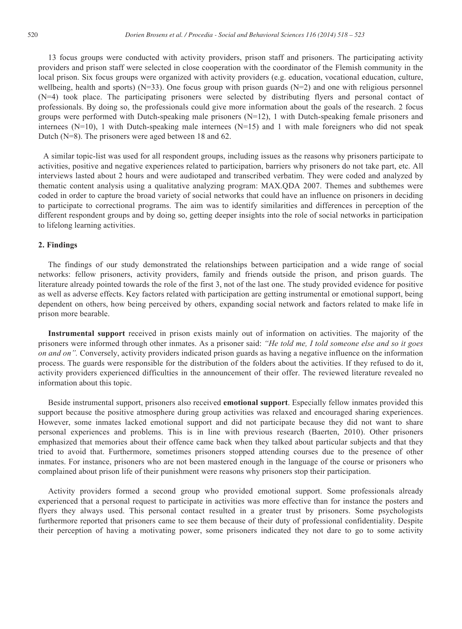13 focus groups were conducted with activity providers, prison staff and prisoners. The participating activity providers and prison staff were selected in close cooperation with the coordinator of the Flemish community in the local prison. Six focus groups were organized with activity providers (e.g. education, vocational education, culture, wellbeing, health and sports) ( $N=33$ ). One focus group with prison guards ( $N=2$ ) and one with religious personnel (N=4) took place. The participating prisoners were selected by distributing flyers and personal contact of professionals. By doing so, the professionals could give more information about the goals of the research. 2 focus groups were performed with Dutch-speaking male prisoners  $(N=12)$ , 1 with Dutch-speaking female prisoners and internees (N=10), 1 with Dutch-speaking male internees (N=15) and 1 with male foreigners who did not speak Dutch (N=8). The prisoners were aged between 18 and 62.

A similar topic-list was used for all respondent groups, including issues as the reasons why prisoners participate to activities, positive and negative experiences related to participation, barriers why prisoners do not take part, etc. All interviews lasted about 2 hours and were audiotaped and transcribed verbatim. They were coded and analyzed by thematic content analysis using a qualitative analyzing program: MAX.QDA 2007. Themes and subthemes were coded in order to capture the broad variety of social networks that could have an influence on prisoners in deciding to participate to correctional programs. The aim was to identify similarities and differences in perception of the different respondent groups and by doing so, getting deeper insights into the role of social networks in participation to lifelong learning activities.

#### **2. Findings**

The findings of our study demonstrated the relationships between participation and a wide range of social networks: fellow prisoners, activity providers, family and friends outside the prison, and prison guards. The literature already pointed towards the role of the first 3, not of the last one. The study provided evidence for positive as well as adverse effects. Key factors related with participation are getting instrumental or emotional support, being dependent on others, how being perceived by others, expanding social network and factors related to make life in prison more bearable.

**Instrumental support** received in prison exists mainly out of information on activities. The majority of the prisoners were informed through other inmates. As a prisoner said: *"He told me, I told someone else and so it goes on and on".* Conversely, activity providers indicated prison guards as having a negative influence on the information process. The guards were responsible for the distribution of the folders about the activities. If they refused to do it, activity providers experienced difficulties in the announcement of their offer. The reviewed literature revealed no information about this topic.

Beside instrumental support, prisoners also received **emotional support**. Especially fellow inmates provided this support because the positive atmosphere during group activities was relaxed and encouraged sharing experiences. However, some inmates lacked emotional support and did not participate because they did not want to share personal experiences and problems. This is in line with previous research (Baerten, 2010). Other prisoners emphasized that memories about their offence came back when they talked about particular subjects and that they tried to avoid that. Furthermore, sometimes prisoners stopped attending courses due to the presence of other inmates. For instance, prisoners who are not been mastered enough in the language of the course or prisoners who complained about prison life of their punishment were reasons why prisoners stop their participation.

Activity providers formed a second group who provided emotional support. Some professionals already experienced that a personal request to participate in activities was more effective than for instance the posters and flyers they always used. This personal contact resulted in a greater trust by prisoners. Some psychologists furthermore reported that prisoners came to see them because of their duty of professional confidentiality. Despite their perception of having a motivating power, some prisoners indicated they not dare to go to some activity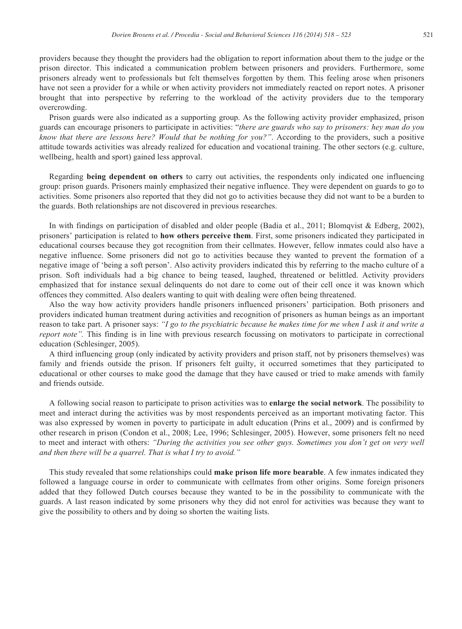providers because they thought the providers had the obligation to report information about them to the judge or the prison director. This indicated a communication problem between prisoners and providers. Furthermore, some prisoners already went to professionals but felt themselves forgotten by them. This feeling arose when prisoners have not seen a provider for a while or when activity providers not immediately reacted on report notes. A prisoner brought that into perspective by referring to the workload of the activity providers due to the temporary overcrowding.

Prison guards were also indicated as a supporting group. As the following activity provider emphasized, prison guards can encourage prisoners to participate in activities: "*there are guards who say to prisoners: hey man do you know that there are lessons here? Would that be nothing for you?"*. According to the providers, such a positive attitude towards activities was already realized for education and vocational training. The other sectors (e.g. culture, wellbeing, health and sport) gained less approval.

Regarding **being dependent on others** to carry out activities, the respondents only indicated one influencing group: prison guards. Prisoners mainly emphasized their negative influence. They were dependent on guards to go to activities. Some prisoners also reported that they did not go to activities because they did not want to be a burden to the guards. Both relationships are not discovered in previous researches.

In with findings on participation of disabled and older people (Badia et al., 2011; Blomqvist & Edberg, 2002), prisoners' participation is related to **how others perceive them**. First, some prisoners indicated they participated in educational courses because they got recognition from their cellmates. However, fellow inmates could also have a negative influence. Some prisoners did not go to activities because they wanted to prevent the formation of a negative image of 'being a soft person'. Also activity providers indicated this by referring to the macho culture of a prison. Soft individuals had a big chance to being teased, laughed, threatened or belittled. Activity providers emphasized that for instance sexual delinquents do not dare to come out of their cell once it was known which offences they committed. Also dealers wanting to quit with dealing were often being threatened.

Also the way how activity providers handle prisoners influenced prisoners' participation. Both prisoners and providers indicated human treatment during activities and recognition of prisoners as human beings as an important reason to take part. A prisoner says: *"I go to the psychiatric because he makes time for me when I ask it and write a report note".* This finding is in line with previous research focussing on motivators to participate in correctional education (Schlesinger, 2005).

A third influencing group (only indicated by activity providers and prison staff, not by prisoners themselves) was family and friends outside the prison. If prisoners felt guilty, it occurred sometimes that they participated to educational or other courses to make good the damage that they have caused or tried to make amends with family and friends outside.

A following social reason to participate to prison activities was to **enlarge the social network**. The possibility to meet and interact during the activities was by most respondents perceived as an important motivating factor. This was also expressed by women in poverty to participate in adult education (Prins et al., 2009) and is confirmed by other research in prison (Condon et al., 2008; Lee, 1996; Schlesinger, 2005). However, some prisoners felt no need to meet and interact with others: *"During the activities you see other guys. Sometimes you don't get on very well and then there will be a quarrel. That is what I try to avoid."* 

This study revealed that some relationships could **make prison life more bearable**. A few inmates indicated they followed a language course in order to communicate with cellmates from other origins. Some foreign prisoners added that they followed Dutch courses because they wanted to be in the possibility to communicate with the guards. A last reason indicated by some prisoners why they did not enrol for activities was because they want to give the possibility to others and by doing so shorten the waiting lists.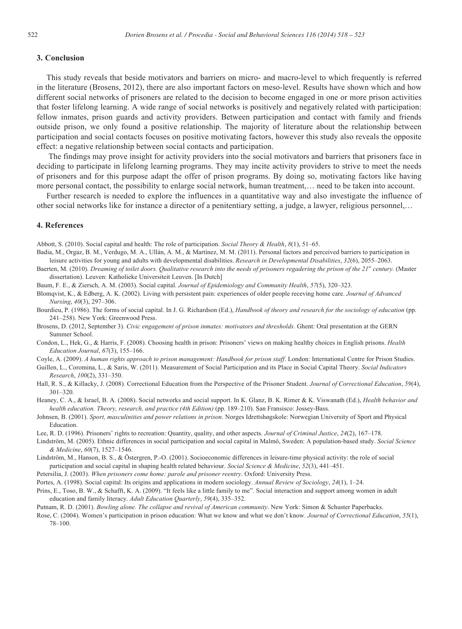# **3. Conclusion**

This study reveals that beside motivators and barriers on micro- and macro-level to which frequently is referred in the literature (Brosens, 2012), there are also important factors on meso-level. Results have shown which and how different social networks of prisoners are related to the decision to become engaged in one or more prison activities that foster lifelong learning. A wide range of social networks is positively and negatively related with participation: fellow inmates, prison guards and activity providers. Between participation and contact with family and friends outside prison, we only found a positive relationship. The majority of literature about the relationship between participation and social contacts focuses on positive motivating factors, however this study also reveals the opposite effect: a negative relationship between social contacts and participation.

 The findings may prove insight for activity providers into the social motivators and barriers that prisoners face in deciding to participate in lifelong learning programs. They may incite activity providers to strive to meet the needs of prisoners and for this purpose adapt the offer of prison programs. By doing so, motivating factors like having more personal contact, the possibility to enlarge social network, human treatment,… need to be taken into account.

Further research is needed to explore the influences in a quantitative way and also investigate the influence of other social networks like for instance a director of a penitentiary setting, a judge, a lawyer, religious personnel,…

#### **4. References**

Abbott, S. (2010). Social capital and health: The role of participation. *Social Theory & Health*, *8*(1), 51–65.

Badia, M., Orgaz, B. M., Verdugo, M. A., Ullán, A. M., & Martínez, M. M. (2011). Personal factors and perceived barriers to participation in leisure activities for young and adults with developmental disabilities. *Research in Developmental Disabilities*, *32*(6), 2055–2063.

Baerten, M. (2010). *Dreaming of toilet doors. Qualitative research into the needs of prisoners regadering the prison of the 21st century.* (Master dissertation). Leuven: Katholieke Universiteit Leuven. [In Dutch]

Baum, F. E., & Ziersch, A. M. (2003). Social capital. *Journal of Epidemiology and Community Health*, *57*(5), 320–323.

Blomqvist, K., & Edberg, A. K. (2002). Living with persistent pain: experiences of older people receving home care. *Journal of Advanced Nursing*, *40*(3), 297–306.

Bourdieu, P. (1986). The forms of social capital. In J. G. Richardson (Ed.), *Handbook of theory and research for the sociology of education* (pp. 241–258). New York: Greenwood Press.

Brosens, D. (2012, September 3). *Civic engagement of prison inmates: motivators and thresholds.* Ghent: Oral presentation at the GERN Summer School.

Condon, L., Hek, G., & Harris, F. (2008). Choosing health in prison: Prisoners' views on making healthy choices in English prisons. *Health Education Journal*, *67*(3), 155–166.

Coyle, A. (2009). *A human rights approach to prison management: Handbook for prison staff*. London: International Centre for Prison Studies.

Guillen, L., Coromina, L., & Saris, W. (2011). Measurement of Social Participation and its Place in Social Capital Theory. *Social Indicators Research*, *100*(2), 331–350.

Hall, R. S., & Killacky, J. (2008). Correctional Education from the Perspective of the Prisoner Student. *Journal of Correctional Education*, *59*(4), 301–320.

Heaney, C. A., & Israel, B. A. (2008). Social networks and social support. In K. Glanz, B. K. Rimer & K. Viswanath (Ed.), *Health behavior and health education. Theory, research, and practice (4th Edition)* (pp. 189–210). San Fransisco: Jossey-Bass.

Johnsen, B. (2001). *Sport, masculinities and power relations in prison*. Norges Idrettshøgskole: Norwegian University of Sport and Physical Education.

Lee, R. D. (1996). Prisoners' rights to recreation: Quantity, quality, and other aspects. *Journal of Criminal Justice*, *24*(2), 167–178.

Lindström, M. (2005). Ethnic differences in social participation and social capital in Malmö, Sweden: A population-based study. *Social Science & Medicine*, *60*(7), 1527–1546.

Lindström, M., Hanson, B. S., & Östergren, P.-O. (2001). Socioeconomic differences in leisure-time physical activity: the role of social participation and social capital in shaping health related behaviour. *Social Science & Medicine*, *52*(3), 441–451.

Petersilia, J. (2003). *When prisoners come home: parole and prisoner reentry*. Oxford: University Press.

Portes, A. (1998). Social capital: Its origins and applications in modern sociology. *Annual Review of Sociology*, *24*(1), 1–24.

Prins, E., Toso, B. W., & Schafft, K. A. (2009). "It feels like a little family to me". Social interaction and support among women in adult education and family literacy. *Adult Education Quarterly*, *59*(4), 335–352.

Putnam, R. D. (2001). *Bowling alone. The collapse and revival of American community*. New York: Simon & Schuster Paperbacks.

Rose, C. (2004). Women's participation in prison education: What we know and what we don't know. *Journal of Correctional Education*, *55*(1), 78–100.